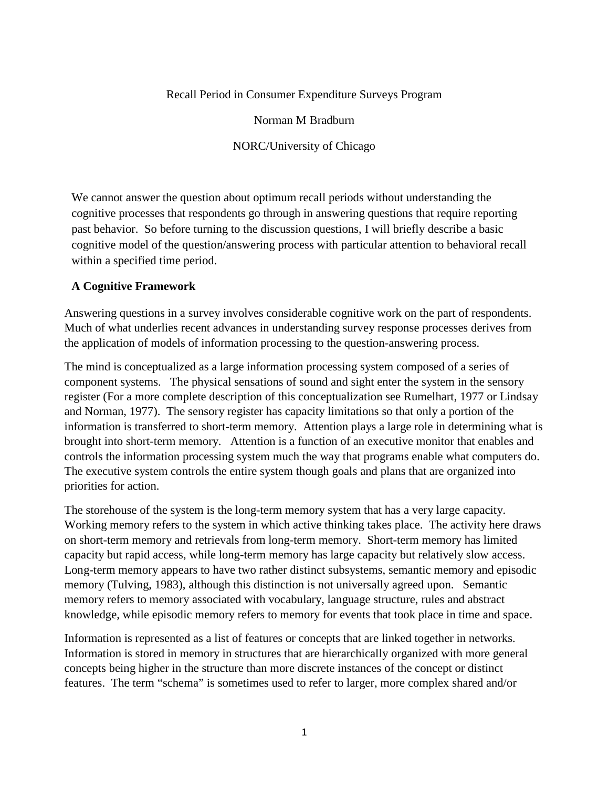#### Recall Period in Consumer Expenditure Surveys Program

Norman M Bradburn

NORC/University of Chicago

We cannot answer the question about optimum recall periods without understanding the cognitive processes that respondents go through in answering questions that require reporting past behavior. So before turning to the discussion questions, I will briefly describe a basic cognitive model of the question/answering process with particular attention to behavioral recall within a specified time period.

#### **A Cognitive Framework**

Answering questions in a survey involves considerable cognitive work on the part of respondents. Much of what underlies recent advances in understanding survey response processes derives from the application of models of information processing to the question-answering process.

The mind is conceptualized as a large information processing system composed of a series of component systems. The physical sensations of sound and sight enter the system in the sensory register (For a more complete description of this conceptualization see Rumelhart, 1977 or Lindsay and Norman, 1977). The sensory register has capacity limitations so that only a portion of the information is transferred to short-term memory. Attention plays a large role in determining what is brought into short-term memory. Attention is a function of an executive monitor that enables and controls the information processing system much the way that programs enable what computers do. The executive system controls the entire system though goals and plans that are organized into priorities for action.

The storehouse of the system is the long-term memory system that has a very large capacity. Working memory refers to the system in which active thinking takes place. The activity here draws on short-term memory and retrievals from long-term memory. Short-term memory has limited capacity but rapid access, while long-term memory has large capacity but relatively slow access. Long-term memory appears to have two rather distinct subsystems, semantic memory and episodic memory (Tulving, 1983), although this distinction is not universally agreed upon. Semantic memory refers to memory associated with vocabulary, language structure, rules and abstract knowledge, while episodic memory refers to memory for events that took place in time and space.

Information is represented as a list of features or concepts that are linked together in networks. Information is stored in memory in structures that are hierarchically organized with more general concepts being higher in the structure than more discrete instances of the concept or distinct features. The term "schema" is sometimes used to refer to larger, more complex shared and/or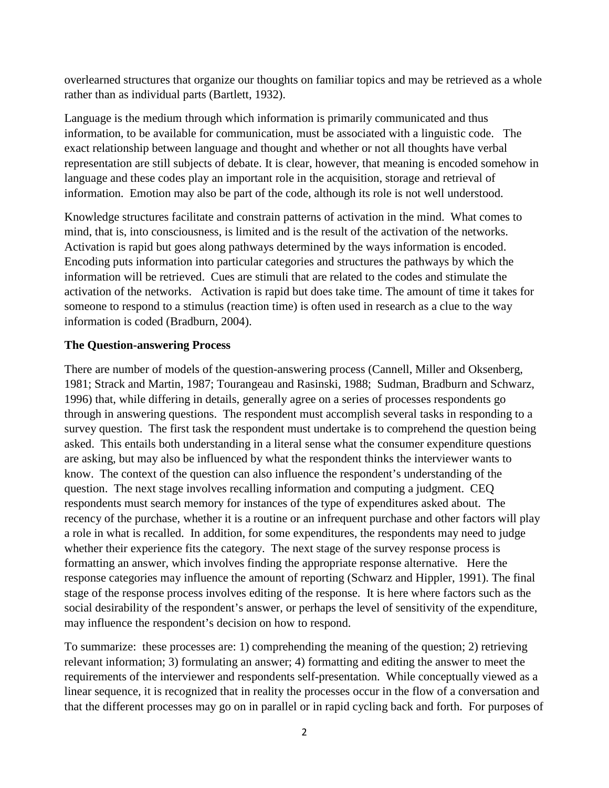overlearned structures that organize our thoughts on familiar topics and may be retrieved as a whole rather than as individual parts (Bartlett, 1932).

Language is the medium through which information is primarily communicated and thus information, to be available for communication, must be associated with a linguistic code. The exact relationship between language and thought and whether or not all thoughts have verbal representation are still subjects of debate. It is clear, however, that meaning is encoded somehow in language and these codes play an important role in the acquisition, storage and retrieval of information. Emotion may also be part of the code, although its role is not well understood.

Knowledge structures facilitate and constrain patterns of activation in the mind. What comes to mind, that is, into consciousness, is limited and is the result of the activation of the networks. Activation is rapid but goes along pathways determined by the ways information is encoded. Encoding puts information into particular categories and structures the pathways by which the information will be retrieved. Cues are stimuli that are related to the codes and stimulate the activation of the networks. Activation is rapid but does take time. The amount of time it takes for someone to respond to a stimulus (reaction time) is often used in research as a clue to the way information is coded (Bradburn, 2004).

### **The Question-answering Process**

There are number of models of the question-answering process (Cannell, Miller and Oksenberg, 1981; Strack and Martin, 1987; Tourangeau and Rasinski, 1988; Sudman, Bradburn and Schwarz, 1996) that, while differing in details, generally agree on a series of processes respondents go through in answering questions. The respondent must accomplish several tasks in responding to a survey question. The first task the respondent must undertake is to comprehend the question being asked. This entails both understanding in a literal sense what the consumer expenditure questions are asking, but may also be influenced by what the respondent thinks the interviewer wants to know. The context of the question can also influence the respondent's understanding of the question. The next stage involves recalling information and computing a judgment. CEQ respondents must search memory for instances of the type of expenditures asked about. The recency of the purchase, whether it is a routine or an infrequent purchase and other factors will play a role in what is recalled. In addition, for some expenditures, the respondents may need to judge whether their experience fits the category. The next stage of the survey response process is formatting an answer, which involves finding the appropriate response alternative. Here the response categories may influence the amount of reporting (Schwarz and Hippler, 1991). The final stage of the response process involves editing of the response. It is here where factors such as the social desirability of the respondent's answer, or perhaps the level of sensitivity of the expenditure, may influence the respondent's decision on how to respond.

To summarize: these processes are: 1) comprehending the meaning of the question; 2) retrieving relevant information; 3) formulating an answer; 4) formatting and editing the answer to meet the requirements of the interviewer and respondents self-presentation. While conceptually viewed as a linear sequence, it is recognized that in reality the processes occur in the flow of a conversation and that the different processes may go on in parallel or in rapid cycling back and forth. For purposes of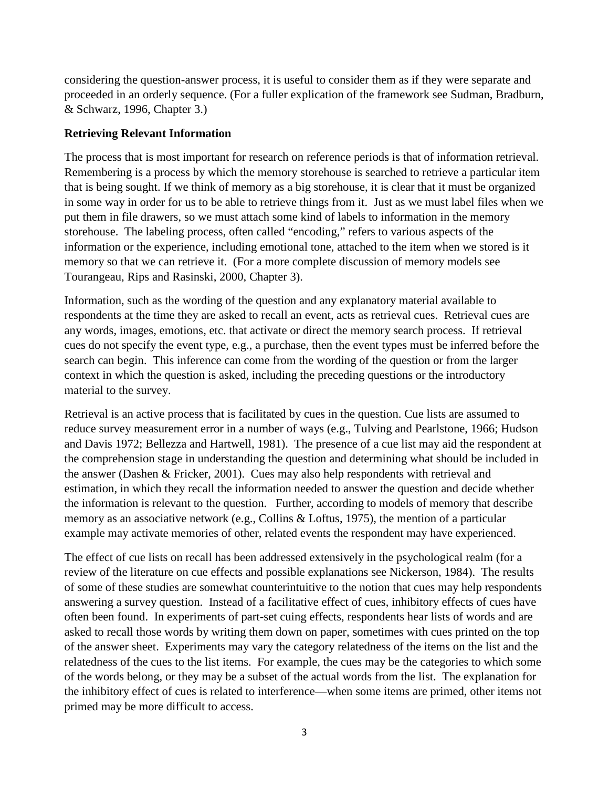considering the question-answer process, it is useful to consider them as if they were separate and proceeded in an orderly sequence. (For a fuller explication of the framework see Sudman, Bradburn, & Schwarz, 1996, Chapter 3.)

#### **Retrieving Relevant Information**

The process that is most important for research on reference periods is that of information retrieval. Remembering is a process by which the memory storehouse is searched to retrieve a particular item that is being sought. If we think of memory as a big storehouse, it is clear that it must be organized in some way in order for us to be able to retrieve things from it. Just as we must label files when we put them in file drawers, so we must attach some kind of labels to information in the memory storehouse. The labeling process, often called "encoding," refers to various aspects of the information or the experience, including emotional tone, attached to the item when we stored is it memory so that we can retrieve it. (For a more complete discussion of memory models see Tourangeau, Rips and Rasinski, 2000, Chapter 3).

Information, such as the wording of the question and any explanatory material available to respondents at the time they are asked to recall an event, acts as retrieval cues. Retrieval cues are any words, images, emotions, etc. that activate or direct the memory search process. If retrieval cues do not specify the event type, e.g., a purchase, then the event types must be inferred before the search can begin. This inference can come from the wording of the question or from the larger context in which the question is asked, including the preceding questions or the introductory material to the survey.

Retrieval is an active process that is facilitated by cues in the question. Cue lists are assumed to reduce survey measurement error in a number of ways (e.g., Tulving and Pearlstone, 1966; Hudson and Davis 1972; Bellezza and Hartwell, 1981). The presence of a cue list may aid the respondent at the comprehension stage in understanding the question and determining what should be included in the answer (Dashen & Fricker, 2001). Cues may also help respondents with retrieval and estimation, in which they recall the information needed to answer the question and decide whether the information is relevant to the question. Further, according to models of memory that describe memory as an associative network (e.g., Collins & Loftus, 1975), the mention of a particular example may activate memories of other, related events the respondent may have experienced.

The effect of cue lists on recall has been addressed extensively in the psychological realm (for a review of the literature on cue effects and possible explanations see Nickerson, 1984). The results of some of these studies are somewhat counterintuitive to the notion that cues may help respondents answering a survey question. Instead of a facilitative effect of cues, inhibitory effects of cues have often been found. In experiments of part-set cuing effects, respondents hear lists of words and are asked to recall those words by writing them down on paper, sometimes with cues printed on the top of the answer sheet. Experiments may vary the category relatedness of the items on the list and the relatedness of the cues to the list items. For example, the cues may be the categories to which some of the words belong, or they may be a subset of the actual words from the list. The explanation for the inhibitory effect of cues is related to interference—when some items are primed, other items not primed may be more difficult to access.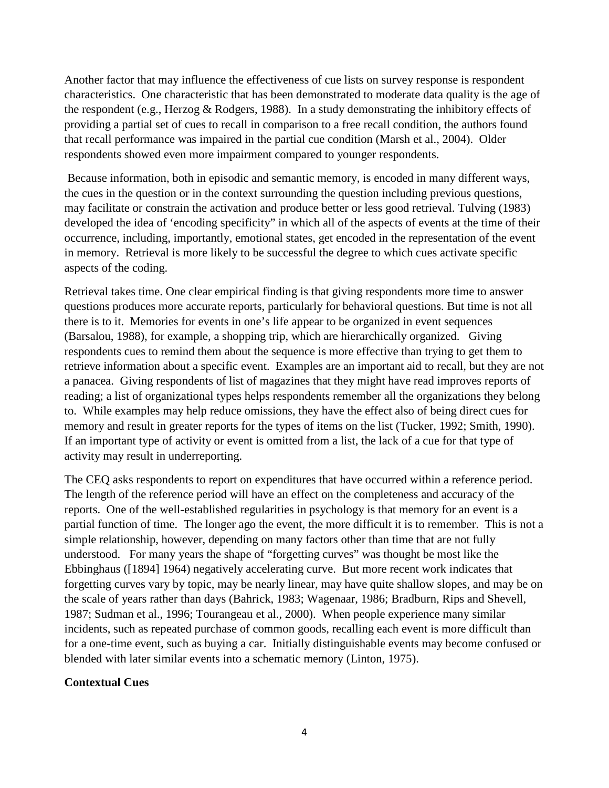Another factor that may influence the effectiveness of cue lists on survey response is respondent characteristics. One characteristic that has been demonstrated to moderate data quality is the age of the respondent (e.g., Herzog & Rodgers, 1988). In a study demonstrating the inhibitory effects of providing a partial set of cues to recall in comparison to a free recall condition, the authors found that recall performance was impaired in the partial cue condition (Marsh et al., 2004). Older respondents showed even more impairment compared to younger respondents.

 Because information, both in episodic and semantic memory, is encoded in many different ways, the cues in the question or in the context surrounding the question including previous questions, may facilitate or constrain the activation and produce better or less good retrieval. Tulving (1983) developed the idea of 'encoding specificity" in which all of the aspects of events at the time of their occurrence, including, importantly, emotional states, get encoded in the representation of the event in memory. Retrieval is more likely to be successful the degree to which cues activate specific aspects of the coding.

Retrieval takes time. One clear empirical finding is that giving respondents more time to answer questions produces more accurate reports, particularly for behavioral questions. But time is not all there is to it. Memories for events in one's life appear to be organized in event sequences (Barsalou, 1988), for example, a shopping trip, which are hierarchically organized. Giving respondents cues to remind them about the sequence is more effective than trying to get them to retrieve information about a specific event. Examples are an important aid to recall, but they are not a panacea. Giving respondents of list of magazines that they might have read improves reports of reading; a list of organizational types helps respondents remember all the organizations they belong to. While examples may help reduce omissions, they have the effect also of being direct cues for memory and result in greater reports for the types of items on the list (Tucker, 1992; Smith, 1990). If an important type of activity or event is omitted from a list, the lack of a cue for that type of activity may result in underreporting.

The CEQ asks respondents to report on expenditures that have occurred within a reference period. The length of the reference period will have an effect on the completeness and accuracy of the reports. One of the well-established regularities in psychology is that memory for an event is a partial function of time. The longer ago the event, the more difficult it is to remember. This is not a simple relationship, however, depending on many factors other than time that are not fully understood. For many years the shape of "forgetting curves" was thought be most like the Ebbinghaus ([1894] 1964) negatively accelerating curve. But more recent work indicates that forgetting curves vary by topic, may be nearly linear, may have quite shallow slopes, and may be on the scale of years rather than days (Bahrick, 1983; Wagenaar, 1986; Bradburn, Rips and Shevell, 1987; Sudman et al., 1996; Tourangeau et al., 2000). When people experience many similar incidents, such as repeated purchase of common goods, recalling each event is more difficult than for a one-time event, such as buying a car. Initially distinguishable events may become confused or blended with later similar events into a schematic memory (Linton, 1975).

#### **Contextual Cues**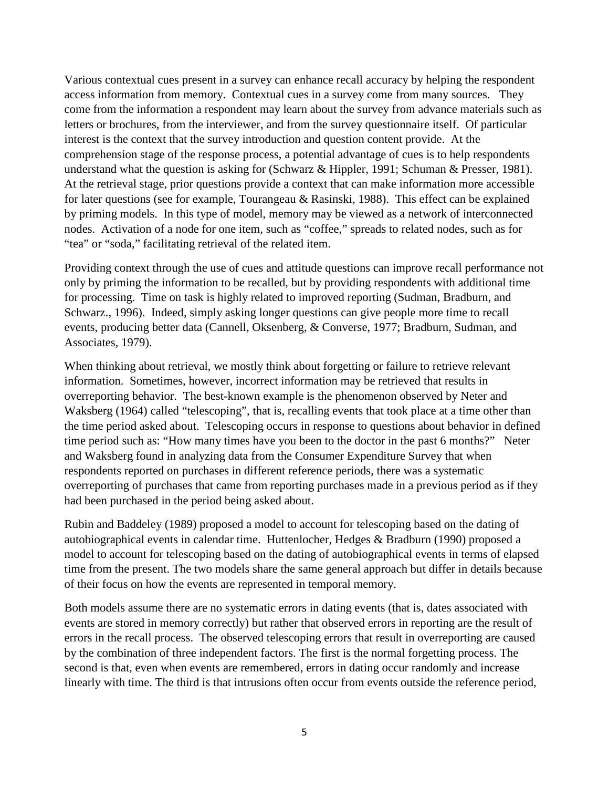Various contextual cues present in a survey can enhance recall accuracy by helping the respondent access information from memory. Contextual cues in a survey come from many sources. They come from the information a respondent may learn about the survey from advance materials such as letters or brochures, from the interviewer, and from the survey questionnaire itself. Of particular interest is the context that the survey introduction and question content provide. At the comprehension stage of the response process, a potential advantage of cues is to help respondents understand what the question is asking for (Schwarz & Hippler, 1991; Schuman & Presser, 1981). At the retrieval stage, prior questions provide a context that can make information more accessible for later questions (see for example, Tourangeau & Rasinski, 1988). This effect can be explained by priming models. In this type of model, memory may be viewed as a network of interconnected nodes. Activation of a node for one item, such as "coffee," spreads to related nodes, such as for "tea" or "soda," facilitating retrieval of the related item.

Providing context through the use of cues and attitude questions can improve recall performance not only by priming the information to be recalled, but by providing respondents with additional time for processing. Time on task is highly related to improved reporting (Sudman, Bradburn, and Schwarz., 1996). Indeed, simply asking longer questions can give people more time to recall events, producing better data (Cannell, Oksenberg, & Converse, 1977; Bradburn, Sudman, and Associates, 1979).

When thinking about retrieval, we mostly think about forgetting or failure to retrieve relevant information. Sometimes, however, incorrect information may be retrieved that results in overreporting behavior. The best-known example is the phenomenon observed by Neter and Waksberg (1964) called "telescoping", that is, recalling events that took place at a time other than the time period asked about. Telescoping occurs in response to questions about behavior in defined time period such as: "How many times have you been to the doctor in the past 6 months?" Neter and Waksberg found in analyzing data from the Consumer Expenditure Survey that when respondents reported on purchases in different reference periods, there was a systematic overreporting of purchases that came from reporting purchases made in a previous period as if they had been purchased in the period being asked about.

Rubin and Baddeley (1989) proposed a model to account for telescoping based on the dating of autobiographical events in calendar time. Huttenlocher, Hedges & Bradburn (1990) proposed a model to account for telescoping based on the dating of autobiographical events in terms of elapsed time from the present. The two models share the same general approach but differ in details because of their focus on how the events are represented in temporal memory.

Both models assume there are no systematic errors in dating events (that is, dates associated with events are stored in memory correctly) but rather that observed errors in reporting are the result of errors in the recall process. The observed telescoping errors that result in overreporting are caused by the combination of three independent factors. The first is the normal forgetting process. The second is that, even when events are remembered, errors in dating occur randomly and increase linearly with time. The third is that intrusions often occur from events outside the reference period,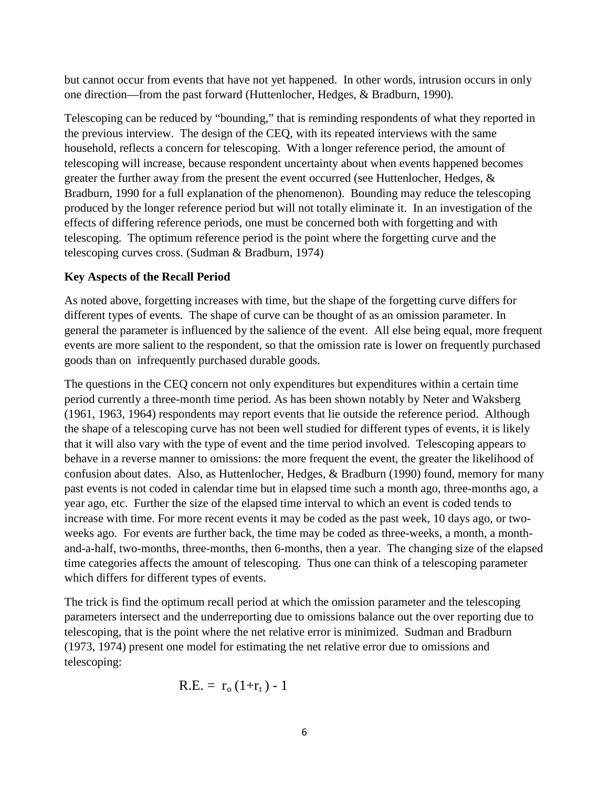but cannot occur from events that have not yet happened. In other words, intrusion occurs in only one direction—from the past forward (Huttenlocher, Hedges, & Bradburn, 1990).

Telescoping can be reduced by "bounding," that is reminding respondents of what they reported in the previous interview. The design of the CEQ, with its repeated interviews with the same household, reflects a concern for telescoping. With a longer reference period, the amount of telescoping will increase, because respondent uncertainty about when events happened becomes greater the further away from the present the event occurred (see Huttenlocher, Hedges, & Bradburn, 1990 for a full explanation of the phenomenon). Bounding may reduce the telescoping produced by the longer reference period but will not totally eliminate it. In an investigation of the effects of differing reference periods, one must be concerned both with forgetting and with telescoping. The optimum reference period is the point where the forgetting curve and the telescoping curves cross. (Sudman & Bradburn, 1974)

### **Key Aspects of the Recall Period**

As noted above, forgetting increases with time, but the shape of the forgetting curve differs for different types of events. The shape of curve can be thought of as an omission parameter. In general the parameter is influenced by the salience of the event. All else being equal, more frequent events are more salient to the respondent, so that the omission rate is lower on frequently purchased goods than on infrequently purchased durable goods.

The questions in the CEQ concern not only expenditures but expenditures within a certain time period currently a three-month time period. As has been shown notably by Neter and Waksberg (1961, 1963, 1964) respondents may report events that lie outside the reference period. Although the shape of a telescoping curve has not been well studied for different types of events, it is likely that it will also vary with the type of event and the time period involved. Telescoping appears to behave in a reverse manner to omissions: the more frequent the event, the greater the likelihood of confusion about dates. Also, as Huttenlocher, Hedges, & Bradburn (1990) found, memory for many past events is not coded in calendar time but in elapsed time such a month ago, three-months ago, a year ago, etc. Further the size of the elapsed time interval to which an event is coded tends to increase with time. For more recent events it may be coded as the past week, 10 days ago, or twoweeks ago. For events are further back, the time may be coded as three-weeks, a month, a monthand-a-half, two-months, three-months, then 6-months, then a year. The changing size of the elapsed time categories affects the amount of telescoping. Thus one can think of a telescoping parameter which differs for different types of events.

The trick is find the optimum recall period at which the omission parameter and the telescoping parameters intersect and the underreporting due to omissions balance out the over reporting due to telescoping, that is the point where the net relative error is minimized. Sudman and Bradburn (1973, 1974) present one model for estimating the net relative error due to omissions and telescoping:

$$
R.E. = r_0 (1+r_t) - 1
$$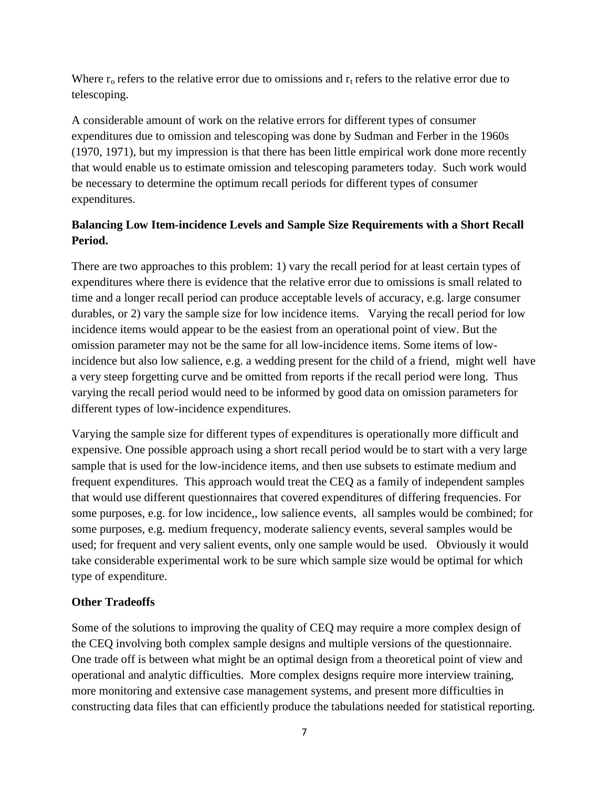Where  $r_0$  refers to the relative error due to omissions and  $r_t$  refers to the relative error due to telescoping.

A considerable amount of work on the relative errors for different types of consumer expenditures due to omission and telescoping was done by Sudman and Ferber in the 1960s (1970, 1971), but my impression is that there has been little empirical work done more recently that would enable us to estimate omission and telescoping parameters today. Such work would be necessary to determine the optimum recall periods for different types of consumer expenditures.

# **Balancing Low Item-incidence Levels and Sample Size Requirements with a Short Recall Period.**

There are two approaches to this problem: 1) vary the recall period for at least certain types of expenditures where there is evidence that the relative error due to omissions is small related to time and a longer recall period can produce acceptable levels of accuracy, e.g. large consumer durables, or 2) vary the sample size for low incidence items. Varying the recall period for low incidence items would appear to be the easiest from an operational point of view. But the omission parameter may not be the same for all low-incidence items. Some items of lowincidence but also low salience, e.g. a wedding present for the child of a friend, might well have a very steep forgetting curve and be omitted from reports if the recall period were long. Thus varying the recall period would need to be informed by good data on omission parameters for different types of low-incidence expenditures.

Varying the sample size for different types of expenditures is operationally more difficult and expensive. One possible approach using a short recall period would be to start with a very large sample that is used for the low-incidence items, and then use subsets to estimate medium and frequent expenditures. This approach would treat the CEQ as a family of independent samples that would use different questionnaires that covered expenditures of differing frequencies. For some purposes, e.g. for low incidence,, low salience events, all samples would be combined; for some purposes, e.g. medium frequency, moderate saliency events, several samples would be used; for frequent and very salient events, only one sample would be used. Obviously it would take considerable experimental work to be sure which sample size would be optimal for which type of expenditure.

### **Other Tradeoffs**

Some of the solutions to improving the quality of CEQ may require a more complex design of the CEQ involving both complex sample designs and multiple versions of the questionnaire. One trade off is between what might be an optimal design from a theoretical point of view and operational and analytic difficulties. More complex designs require more interview training, more monitoring and extensive case management systems, and present more difficulties in constructing data files that can efficiently produce the tabulations needed for statistical reporting.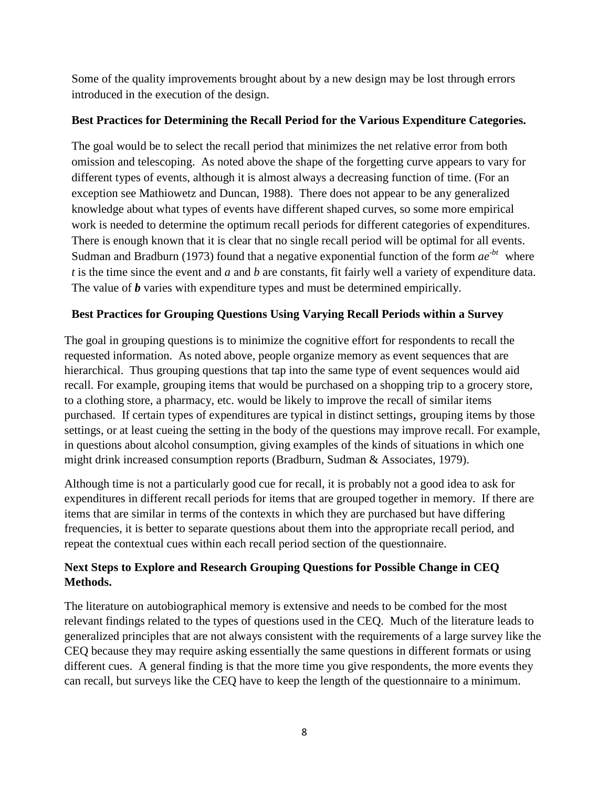Some of the quality improvements brought about by a new design may be lost through errors introduced in the execution of the design.

## **Best Practices for Determining the Recall Period for the Various Expenditure Categories.**

The goal would be to select the recall period that minimizes the net relative error from both omission and telescoping. As noted above the shape of the forgetting curve appears to vary for different types of events, although it is almost always a decreasing function of time. (For an exception see Mathiowetz and Duncan, 1988). There does not appear to be any generalized knowledge about what types of events have different shaped curves, so some more empirical work is needed to determine the optimum recall periods for different categories of expenditures. There is enough known that it is clear that no single recall period will be optimal for all events. Sudman and Bradburn (1973) found that a negative exponential function of the form  $ae^{-bt}$  where *t* is the time since the event and *a* and *b* are constants, fit fairly well a variety of expenditure data. The value of *b* varies with expenditure types and must be determined empirically.

# **Best Practices for Grouping Questions Using Varying Recall Periods within a Survey**

The goal in grouping questions is to minimize the cognitive effort for respondents to recall the requested information. As noted above, people organize memory as event sequences that are hierarchical. Thus grouping questions that tap into the same type of event sequences would aid recall. For example, grouping items that would be purchased on a shopping trip to a grocery store, to a clothing store, a pharmacy, etc. would be likely to improve the recall of similar items purchased. If certain types of expenditures are typical in distinct settings, grouping items by those settings, or at least cueing the setting in the body of the questions may improve recall. For example, in questions about alcohol consumption, giving examples of the kinds of situations in which one might drink increased consumption reports (Bradburn, Sudman & Associates, 1979).

Although time is not a particularly good cue for recall, it is probably not a good idea to ask for expenditures in different recall periods for items that are grouped together in memory. If there are items that are similar in terms of the contexts in which they are purchased but have differing frequencies, it is better to separate questions about them into the appropriate recall period, and repeat the contextual cues within each recall period section of the questionnaire.

# **Next Steps to Explore and Research Grouping Questions for Possible Change in CEQ Methods.**

The literature on autobiographical memory is extensive and needs to be combed for the most relevant findings related to the types of questions used in the CEQ. Much of the literature leads to generalized principles that are not always consistent with the requirements of a large survey like the CEQ because they may require asking essentially the same questions in different formats or using different cues. A general finding is that the more time you give respondents, the more events they can recall, but surveys like the CEQ have to keep the length of the questionnaire to a minimum.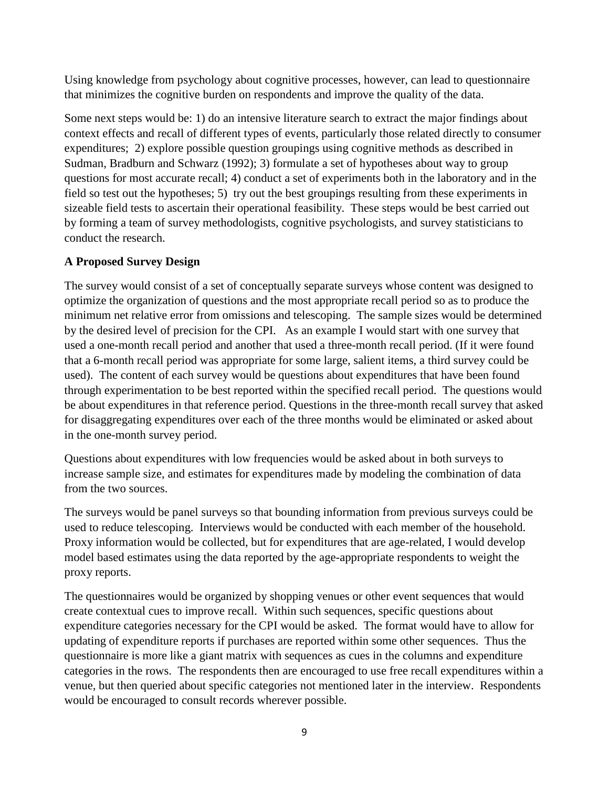Using knowledge from psychology about cognitive processes, however, can lead to questionnaire that minimizes the cognitive burden on respondents and improve the quality of the data.

Some next steps would be: 1) do an intensive literature search to extract the major findings about context effects and recall of different types of events, particularly those related directly to consumer expenditures; 2) explore possible question groupings using cognitive methods as described in Sudman, Bradburn and Schwarz (1992); 3) formulate a set of hypotheses about way to group questions for most accurate recall; 4) conduct a set of experiments both in the laboratory and in the field so test out the hypotheses; 5) try out the best groupings resulting from these experiments in sizeable field tests to ascertain their operational feasibility. These steps would be best carried out by forming a team of survey methodologists, cognitive psychologists, and survey statisticians to conduct the research.

# **A Proposed Survey Design**

The survey would consist of a set of conceptually separate surveys whose content was designed to optimize the organization of questions and the most appropriate recall period so as to produce the minimum net relative error from omissions and telescoping. The sample sizes would be determined by the desired level of precision for the CPI. As an example I would start with one survey that used a one-month recall period and another that used a three-month recall period. (If it were found that a 6-month recall period was appropriate for some large, salient items, a third survey could be used). The content of each survey would be questions about expenditures that have been found through experimentation to be best reported within the specified recall period. The questions would be about expenditures in that reference period. Questions in the three-month recall survey that asked for disaggregating expenditures over each of the three months would be eliminated or asked about in the one-month survey period.

Questions about expenditures with low frequencies would be asked about in both surveys to increase sample size, and estimates for expenditures made by modeling the combination of data from the two sources.

The surveys would be panel surveys so that bounding information from previous surveys could be used to reduce telescoping. Interviews would be conducted with each member of the household. Proxy information would be collected, but for expenditures that are age-related, I would develop model based estimates using the data reported by the age-appropriate respondents to weight the proxy reports.

The questionnaires would be organized by shopping venues or other event sequences that would create contextual cues to improve recall. Within such sequences, specific questions about expenditure categories necessary for the CPI would be asked. The format would have to allow for updating of expenditure reports if purchases are reported within some other sequences. Thus the questionnaire is more like a giant matrix with sequences as cues in the columns and expenditure categories in the rows. The respondents then are encouraged to use free recall expenditures within a venue, but then queried about specific categories not mentioned later in the interview. Respondents would be encouraged to consult records wherever possible.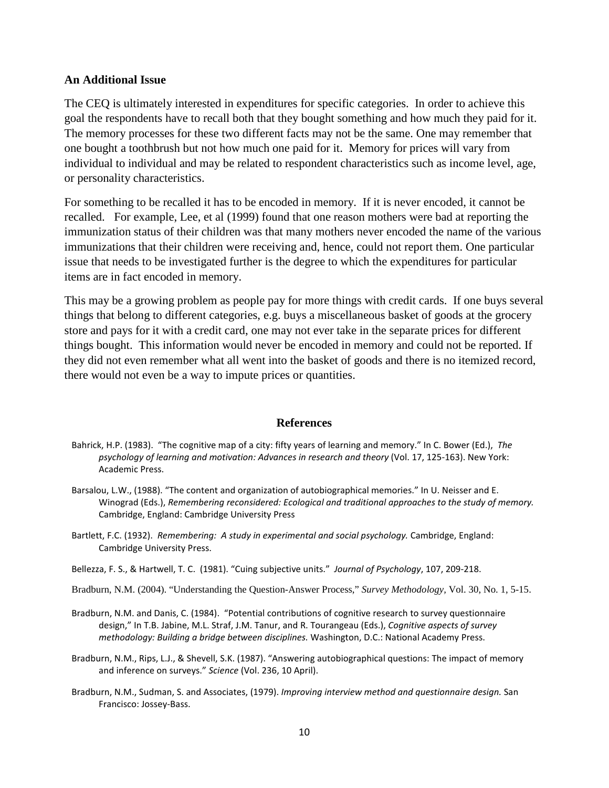#### **An Additional Issue**

The CEQ is ultimately interested in expenditures for specific categories. In order to achieve this goal the respondents have to recall both that they bought something and how much they paid for it. The memory processes for these two different facts may not be the same. One may remember that one bought a toothbrush but not how much one paid for it. Memory for prices will vary from individual to individual and may be related to respondent characteristics such as income level, age, or personality characteristics.

For something to be recalled it has to be encoded in memory. If it is never encoded, it cannot be recalled. For example, Lee, et al (1999) found that one reason mothers were bad at reporting the immunization status of their children was that many mothers never encoded the name of the various immunizations that their children were receiving and, hence, could not report them. One particular issue that needs to be investigated further is the degree to which the expenditures for particular items are in fact encoded in memory.

This may be a growing problem as people pay for more things with credit cards. If one buys several things that belong to different categories, e.g. buys a miscellaneous basket of goods at the grocery store and pays for it with a credit card, one may not ever take in the separate prices for different things bought. This information would never be encoded in memory and could not be reported. If they did not even remember what all went into the basket of goods and there is no itemized record, there would not even be a way to impute prices or quantities.

#### **References**

- Bahrick, H.P. (1983). "The cognitive map of a city: fifty years of learning and memory." In C. Bower (Ed.), *The psychology of learning and motivation: Advances in research and theory* (Vol. 17, 125-163). New York: Academic Press.
- Barsalou, L.W., (1988). "The content and organization of autobiographical memories." In U. Neisser and E. Winograd (Eds.), *Remembering reconsidered: Ecological and traditional approaches to the study of memory.* Cambridge, England: Cambridge University Press
- Bartlett, F.C. (1932). *Remembering: A study in experimental and social psychology.* Cambridge, England: Cambridge University Press.
- Bellezza, F. S., & Hartwell, T. C. (1981). "Cuing subjective units." *Journal of Psychology*, 107, 209-218.
- Bradburn, N.M. (2004). "Understanding the Question-Answer Process," *Survey Methodology,* Vol. 30, No. 1, 5-15.
- Bradburn, N.M. and Danis, C. (1984). "Potential contributions of cognitive research to survey questionnaire design," In T.B. Jabine, M.L. Straf, J.M. Tanur, and R. Tourangeau (Eds.), *Cognitive aspects of survey methodology: Building a bridge between disciplines.* Washington, D.C.: National Academy Press.
- Bradburn, N.M., Rips, L.J., & Shevell, S.K. (1987). "Answering autobiographical questions: The impact of memory and inference on surveys." *Science* (Vol. 236, 10 April).
- Bradburn, N.M., Sudman, S. and Associates, (1979). *Improving interview method and questionnaire design.* San Francisco: Jossey-Bass.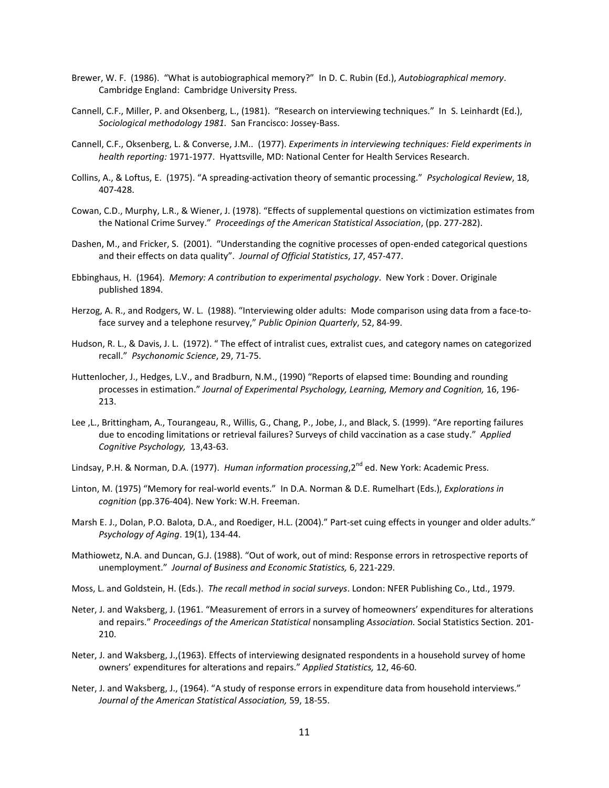- Brewer, W. F. (1986). "What is autobiographical memory?" In D. C. Rubin (Ed.), *Autobiographical memory*. Cambridge England: Cambridge University Press.
- Cannell, C.F., Miller, P. and Oksenberg, L., (1981). "Research on interviewing techniques." In S. Leinhardt (Ed.), *Sociological methodology 1981.* San Francisco: Jossey-Bass.
- Cannell, C.F., Oksenberg, L. & Converse, J.M.. (1977). *Experiments in interviewing techniques: Field experiments in health reporting:* 1971-1977. Hyattsville, MD: National Center for Health Services Research.
- Collins, A., & Loftus, E. (1975). "A spreading-activation theory of semantic processing." *Psychological Review*, 18, 407-428.
- Cowan, C.D., Murphy, L.R., & Wiener, J. (1978). "Effects of supplemental questions on victimization estimates from the National Crime Survey." *Proceedings of the American Statistical Association*, (pp. 277-282).
- Dashen, M., and Fricker, S. (2001). "Understanding the cognitive processes of open-ended categorical questions and their effects on data quality". *Journal of Official Statistics*, *17*, 457-477.
- Ebbinghaus, H. (1964). *Memory: A contribution to experimental psychology*. New York : Dover. Originale published 1894.
- Herzog, A. R., and Rodgers, W. L. (1988). "Interviewing older adults: Mode comparison using data from a face-toface survey and a telephone resurvey," *Public Opinion Quarterly*, 52, 84-99.
- Hudson, R. L., & Davis, J. L. (1972). " The effect of intralist cues, extralist cues, and category names on categorized recall." *Psychonomic Science*, 29, 71-75.
- Huttenlocher, J., Hedges, L.V., and Bradburn, N.M., (1990) "Reports of elapsed time: Bounding and rounding processes in estimation." *Journal of Experimental Psychology, Learning, Memory and Cognition,* 16, 196- 213.
- Lee ,L., Brittingham, A., Tourangeau, R., Willis, G., Chang, P., Jobe, J., and Black, S. (1999). "Are reporting failures due to encoding limitations or retrieval failures? Surveys of child vaccination as a case study." *Applied Cognitive Psychology,* 13,43-63.
- Lindsay, P.H. & Norman, D.A. (1977). *Human information processing*,2<sup>nd</sup> ed. New York: Academic Press.
- Linton, M. (1975) "Memory for real-world events." In D.A. Norman & D.E. Rumelhart (Eds.), *Explorations in cognition* (pp.376-404). New York: W.H. Freeman.
- Marsh E. J., Dolan, P.O. Balota, D.A., and Roediger, H.L. (2004)." Part-set cuing effects in younger and older adults." *Psychology of Aging*. 19(1), 134-44.
- Mathiowetz, N.A. and Duncan, G.J. (1988). "Out of work, out of mind: Response errors in retrospective reports of unemployment." *Journal of Business and Economic Statistics,* 6, 221-229.
- Moss, L. and Goldstein, H. (Eds.). *The recall method in social surveys*. London: NFER Publishing Co., Ltd., 1979.
- Neter, J. and Waksberg, J. (1961. "Measurement of errors in a survey of homeowners' expenditures for alterations and repairs." *Proceedings of the American Statistical* nonsampling *Association.* Social Statistics Section. 201- 210.
- Neter, J. and Waksberg, J.,(1963). Effects of interviewing designated respondents in a household survey of home owners' expenditures for alterations and repairs." *Applied Statistics,* 12, 46-60.
- Neter, J. and Waksberg, J., (1964). "A study of response errors in expenditure data from household interviews." *Journal of the American Statistical Association,* 59, 18-55.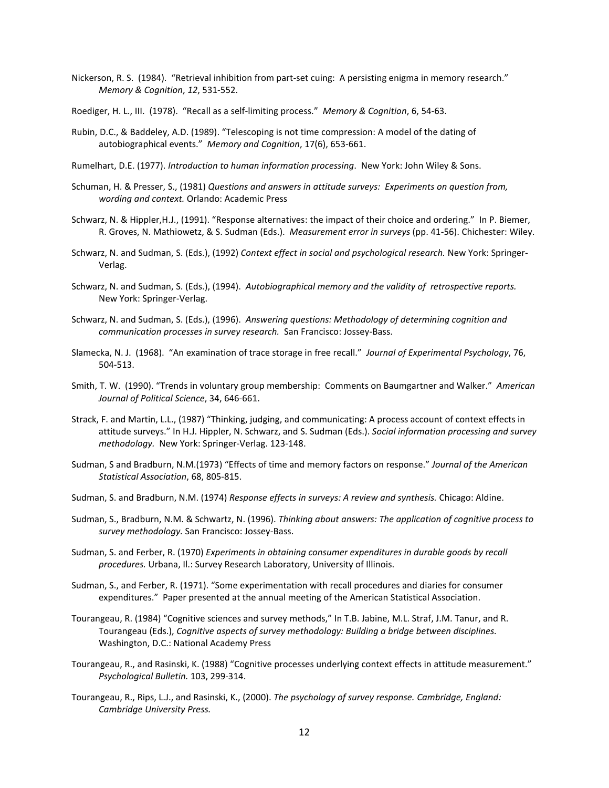- Nickerson, R. S. (1984). "Retrieval inhibition from part-set cuing: A persisting enigma in memory research." *Memory & Cognition*, *12*, 531-552.
- Roediger, H. L., III. (1978). "Recall as a self-limiting process." *Memory & Cognition*, 6, 54-63.
- Rubin, D.C., & Baddeley, A.D. (1989). "Telescoping is not time compression: A model of the dating of autobiographical events." *Memory and Cognition*, 17(6), 653-661.
- Rumelhart, D.E. (1977). *Introduction to human information processing*. New York: John Wiley & Sons.
- Schuman, H. & Presser, S., (1981) *Questions and answers in attitude surveys: Experiments on question from, wording and context.* Orlando: Academic Press
- Schwarz, N. & Hippler,H.J., (1991). "Response alternatives: the impact of their choice and ordering." In P. Biemer, R. Groves, N. Mathiowetz, & S. Sudman (Eds.). *Measurement error in surveys* (pp. 41-56). Chichester: Wiley.
- Schwarz, N. and Sudman, S. (Eds.), (1992) *Context effect in social and psychological research.* New York: Springer-Verlag.
- Schwarz, N. and Sudman, S. (Eds.), (1994). *Autobiographical memory and the validity of retrospective reports.*  New York: Springer-Verlag.
- Schwarz, N. and Sudman, S. (Eds.), (1996). *Answering questions: Methodology of determining cognition and communication processes in survey research.* San Francisco: Jossey-Bass.
- Slamecka, N. J. (1968). "An examination of trace storage in free recall." *Journal of Experimental Psychology*, 76, 504-513.
- Smith, T. W. (1990). "Trends in voluntary group membership: Comments on Baumgartner and Walker." *American Journal of Political Science*, 34, 646-661.
- Strack, F. and Martin, L.L., (1987) "Thinking, judging, and communicating: A process account of context effects in attitude surveys." In H.J. Hippler, N. Schwarz, and S. Sudman (Eds.). *Social information processing and survey methodology.* New York: Springer-Verlag. 123-148.
- Sudman, S and Bradburn, N.M.(1973) "Effects of time and memory factors on response." *Journal of the American Statistical Association*, 68, 805-815.
- Sudman, S. and Bradburn, N.M. (1974) *Response effects in surveys: A review and synthesis.* Chicago: Aldine.
- Sudman, S., Bradburn, N.M. & Schwartz, N. (1996). *Thinking about answers: The application of cognitive process to survey methodology.* San Francisco: Jossey-Bass.
- Sudman, S. and Ferber, R. (1970) *Experiments in obtaining consumer expenditures in durable goods by recall procedures.* Urbana, Il.: Survey Research Laboratory, University of Illinois.
- Sudman, S., and Ferber, R. (1971). "Some experimentation with recall procedures and diaries for consumer expenditures." Paper presented at the annual meeting of the American Statistical Association.
- Tourangeau, R. (1984) "Cognitive sciences and survey methods," In T.B. Jabine, M.L. Straf, J.M. Tanur, and R. Tourangeau (Eds.), *Cognitive aspects of survey methodology: Building a bridge between disciplines.* Washington, D.C.: National Academy Press
- Tourangeau, R., and Rasinski, K. (1988) "Cognitive processes underlying context effects in attitude measurement." *Psychological Bulletin.* 103, 299-314.
- Tourangeau, R., Rips, L.J., and Rasinski, K., (2000). *The psychology of survey response. Cambridge, England: Cambridge University Press.*